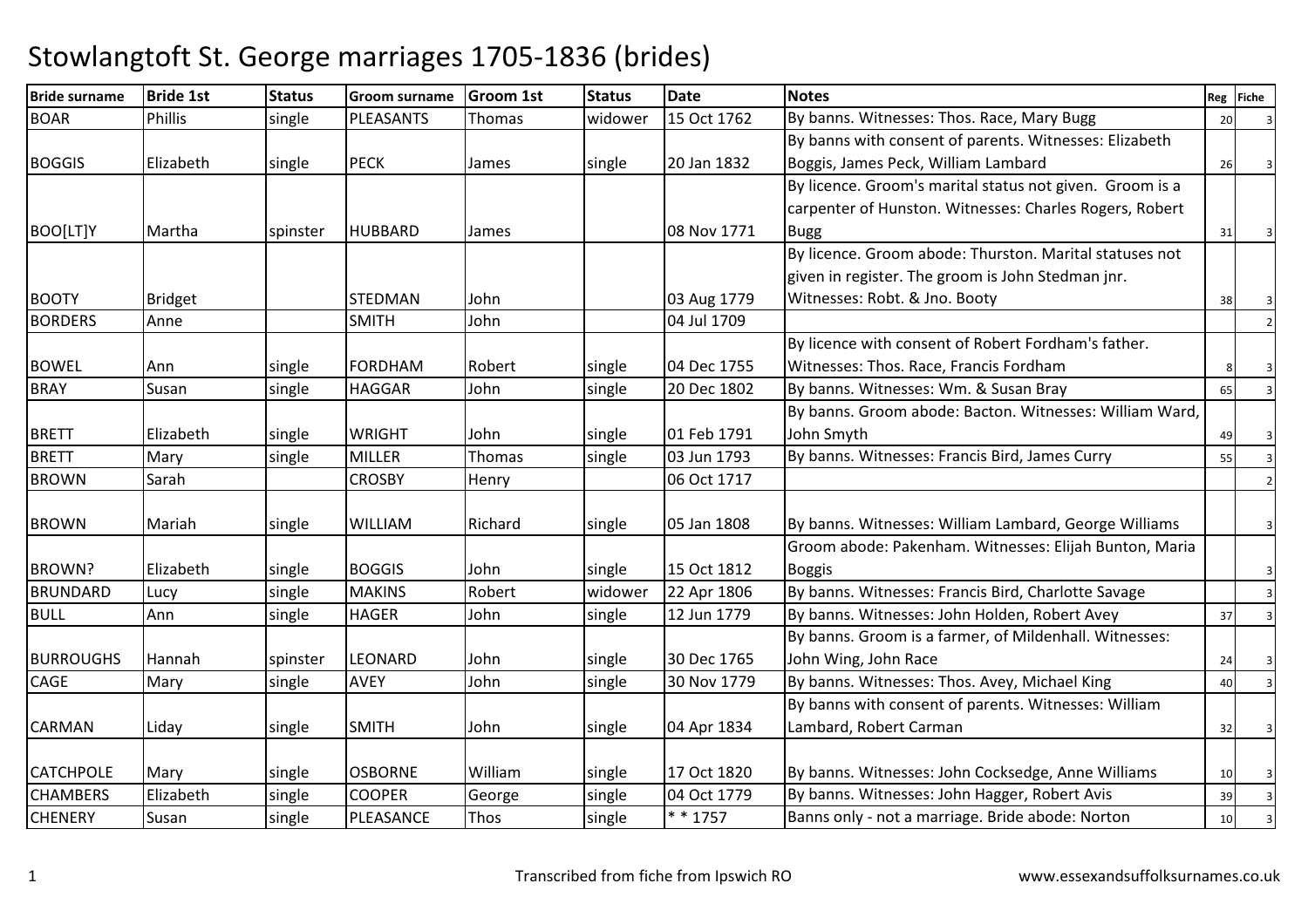| <b>Bride surname</b> | <b>Bride 1st</b> | <b>Status</b> | <b>Groom surname</b> | Groom 1st | <b>Status</b> | <b>Date</b> | <b>Notes</b>                                             |    | Reg Fiche |
|----------------------|------------------|---------------|----------------------|-----------|---------------|-------------|----------------------------------------------------------|----|-----------|
| <b>BOAR</b>          | <b>Phillis</b>   | single        | PLEASANTS            | Thomas    | widower       | 15 Oct 1762 | By banns. Witnesses: Thos. Race, Mary Bugg               | 20 |           |
|                      |                  |               |                      |           |               |             | By banns with consent of parents. Witnesses: Elizabeth   |    |           |
| <b>BOGGIS</b>        | Elizabeth        | single        | <b>PECK</b>          | James     | single        | 20 Jan 1832 | Boggis, James Peck, William Lambard                      | 26 |           |
|                      |                  |               |                      |           |               |             | By licence. Groom's marital status not given. Groom is a |    |           |
|                      |                  |               |                      |           |               |             | carpenter of Hunston. Witnesses: Charles Rogers, Robert  |    |           |
| BOO[LT]Y             | Martha           | spinster      | <b>HUBBARD</b>       | James     |               | 08 Nov 1771 | Bugg                                                     | 31 |           |
|                      |                  |               |                      |           |               |             | By licence. Groom abode: Thurston. Marital statuses not  |    |           |
|                      |                  |               |                      |           |               |             | given in register. The groom is John Stedman jnr.        |    |           |
| <b>BOOTY</b>         | <b>Bridget</b>   |               | STEDMAN              | John      |               | 03 Aug 1779 | Witnesses: Robt. & Jno. Booty                            | 38 |           |
| <b>BORDERS</b>       | Anne             |               | <b>SMITH</b>         | John      |               | 04 Jul 1709 |                                                          |    |           |
|                      |                  |               |                      |           |               |             | By licence with consent of Robert Fordham's father.      |    |           |
| <b>BOWEL</b>         | Ann              | single        | <b>FORDHAM</b>       | Robert    | single        | 04 Dec 1755 | Witnesses: Thos. Race, Francis Fordham                   |    |           |
| <b>BRAY</b>          | Susan            | single        | <b>HAGGAR</b>        | John      | single        | 20 Dec 1802 | By banns. Witnesses: Wm. & Susan Bray                    | 65 |           |
|                      |                  |               |                      |           |               |             | By banns. Groom abode: Bacton. Witnesses: William Ward,  |    |           |
| <b>BRETT</b>         | Elizabeth        | single        | <b>WRIGHT</b>        | John      | single        | 01 Feb 1791 | John Smyth                                               | 49 |           |
| <b>BRETT</b>         | Mary             | single        | <b>MILLER</b>        | Thomas    | single        | 03 Jun 1793 | By banns. Witnesses: Francis Bird, James Curry           | 55 |           |
| <b>BROWN</b>         | Sarah            |               | <b>CROSBY</b>        | Henry     |               | 06 Oct 1717 |                                                          |    |           |
|                      |                  |               |                      |           |               |             |                                                          |    |           |
| <b>BROWN</b>         | Mariah           | single        | <b>WILLIAM</b>       | Richard   | single        | 05 Jan 1808 | By banns. Witnesses: William Lambard, George Williams    |    |           |
|                      |                  |               |                      |           |               |             | Groom abode: Pakenham. Witnesses: Elijah Bunton, Maria   |    |           |
| <b>BROWN?</b>        | Elizabeth        | single        | <b>BOGGIS</b>        | John      | single        | 15 Oct 1812 | <b>Boggis</b>                                            |    |           |
| <b>BRUNDARD</b>      | Lucy             | single        | <b>MAKINS</b>        | Robert    | widower       | 22 Apr 1806 | By banns. Witnesses: Francis Bird, Charlotte Savage      |    |           |
| <b>BULL</b>          | Ann              | single        | <b>HAGER</b>         | John      | single        | 12 Jun 1779 | By banns. Witnesses: John Holden, Robert Avey            | 37 |           |
|                      |                  |               |                      |           |               |             | By banns. Groom is a farmer, of Mildenhall. Witnesses:   |    |           |
| <b>BURROUGHS</b>     | Hannah           | spinster      | <b>LEONARD</b>       | John      | single        | 30 Dec 1765 | John Wing, John Race                                     | 24 |           |
| CAGE                 | Mary             | single        | <b>AVEY</b>          | John      | single        | 30 Nov 1779 | By banns. Witnesses: Thos. Avey, Michael King            | 40 |           |
|                      |                  |               |                      |           |               |             | By banns with consent of parents. Witnesses: William     |    |           |
| <b>CARMAN</b>        | Liday            | single        | <b>SMITH</b>         | John      | single        | 04 Apr 1834 | Lambard, Robert Carman                                   | 32 |           |
|                      |                  |               |                      |           |               |             |                                                          |    |           |
| <b>CATCHPOLE</b>     | Mary             | single        | <b>OSBORNE</b>       | William   | single        | 17 Oct 1820 | By banns. Witnesses: John Cocksedge, Anne Williams       | 10 |           |
| <b>CHAMBERS</b>      | Elizabeth        | single        | <b>COOPER</b>        | George    | single        | 04 Oct 1779 | By banns. Witnesses: John Hagger, Robert Avis            | 39 |           |
| <b>CHENERY</b>       | Susan            | single        | PLEASANCE            | Thos      | single        | $* * 1757$  | Banns only - not a marriage. Bride abode: Norton         | 10 |           |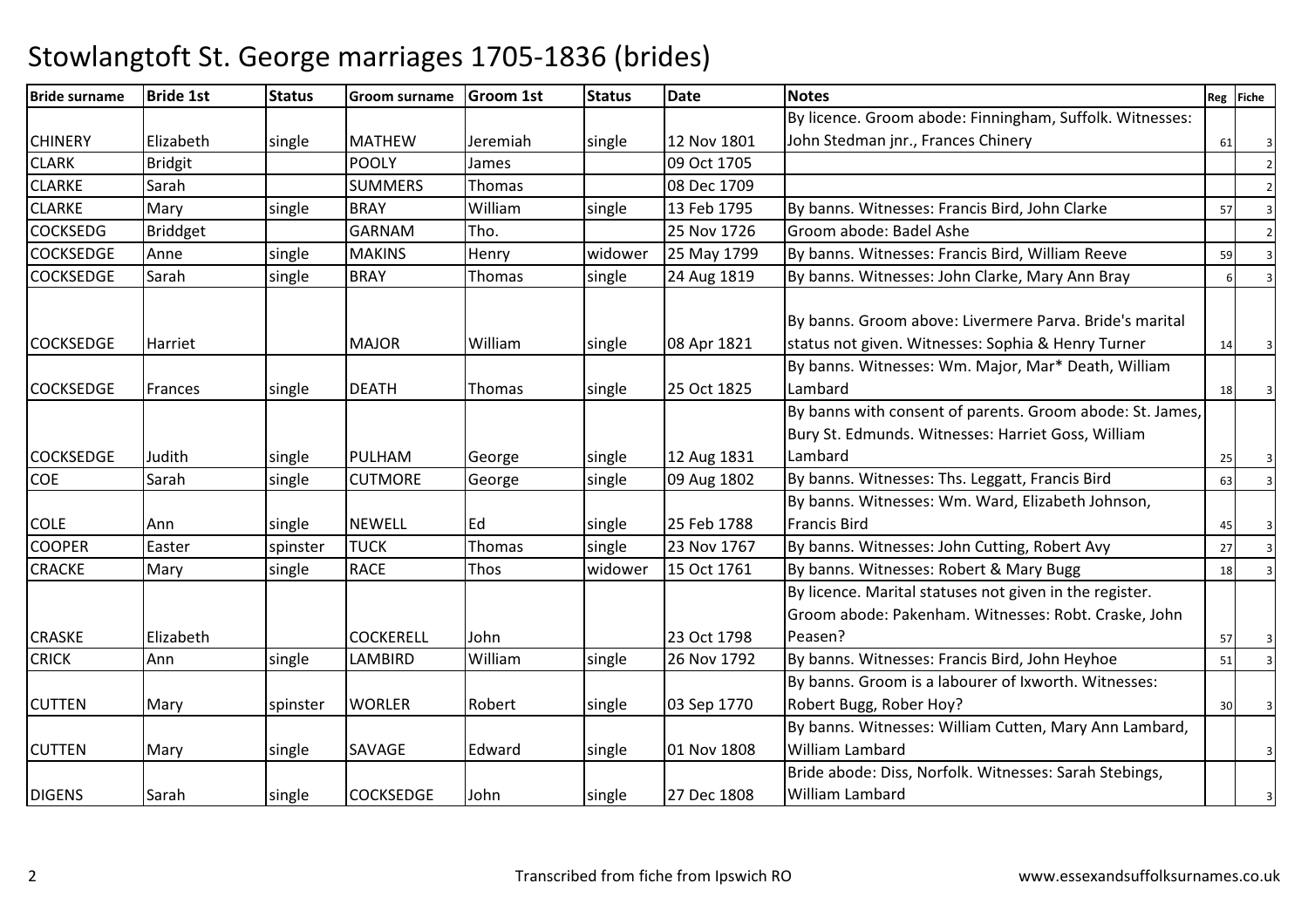| <b>Bride surname</b> | <b>Bride 1st</b> | <b>Status</b> | <b>Groom surname</b> | <b>Groom 1st</b> | <b>Status</b> | <b>Date</b> | <b>Notes</b>                                                                                                               |    | Reg Fiche |
|----------------------|------------------|---------------|----------------------|------------------|---------------|-------------|----------------------------------------------------------------------------------------------------------------------------|----|-----------|
|                      |                  |               |                      |                  |               |             | By licence. Groom abode: Finningham, Suffolk. Witnesses:                                                                   |    |           |
| <b>CHINERY</b>       | Elizabeth        | single        | <b>MATHEW</b>        | Jeremiah         | single        | 12 Nov 1801 | John Stedman jnr., Frances Chinery                                                                                         | 61 |           |
| <b>CLARK</b>         | <b>Bridgit</b>   |               | <b>POOLY</b>         | James            |               | 09 Oct 1705 |                                                                                                                            |    |           |
| <b>CLARKE</b>        | Sarah            |               | <b>SUMMERS</b>       | Thomas           |               | 08 Dec 1709 |                                                                                                                            |    |           |
| <b>CLARKE</b>        | Mary             | single        | <b>BRAY</b>          | William          | single        | 13 Feb 1795 | By banns. Witnesses: Francis Bird, John Clarke                                                                             | 57 |           |
| <b>COCKSEDG</b>      | <b>Briddget</b>  |               | <b>GARNAM</b>        | Tho.             |               | 25 Nov 1726 | Groom abode: Badel Ashe                                                                                                    |    |           |
| <b>COCKSEDGE</b>     | Anne             | single        | <b>MAKINS</b>        | Henry            | widower       | 25 May 1799 | By banns. Witnesses: Francis Bird, William Reeve                                                                           | 59 |           |
| <b>COCKSEDGE</b>     | Sarah            | single        | <b>BRAY</b>          | Thomas           | single        | 24 Aug 1819 | By banns. Witnesses: John Clarke, Mary Ann Bray                                                                            | 6  |           |
| <b>COCKSEDGE</b>     | Harriet          |               | <b>MAJOR</b>         | William          | single        | 08 Apr 1821 | By banns. Groom above: Livermere Parva. Bride's marital<br>status not given. Witnesses: Sophia & Henry Turner              | 14 |           |
| <b>COCKSEDGE</b>     | Frances          | single        | <b>DEATH</b>         | Thomas           | single        | 25 Oct 1825 | By banns. Witnesses: Wm. Major, Mar* Death, William<br>Lambard                                                             | 18 |           |
| <b>COCKSEDGE</b>     | Judith           | single        | PULHAM               | George           | single        | 12 Aug 1831 | By banns with consent of parents. Groom abode: St. James,<br>Bury St. Edmunds. Witnesses: Harriet Goss, William<br>Lambard | 25 |           |
| <b>COE</b>           | Sarah            | single        | <b>CUTMORE</b>       | George           | single        | 09 Aug 1802 | By banns. Witnesses: Ths. Leggatt, Francis Bird                                                                            | 63 |           |
|                      |                  |               |                      |                  |               |             | By banns. Witnesses: Wm. Ward, Elizabeth Johnson,                                                                          |    |           |
| <b>COLE</b>          | l Ann            | single        | <b>NEWELL</b>        | <b>IEd</b>       | single        | 25 Feb 1788 | <b>Francis Bird</b>                                                                                                        | 45 |           |
| <b>COOPER</b>        | Easter           | spinster      | <b>TUCK</b>          | Thomas           | single        | 23 Nov 1767 | By banns. Witnesses: John Cutting, Robert Avy                                                                              | 27 |           |
| <b>CRACKE</b>        | Mary             | single        | <b>RACE</b>          | Thos             | widower       | 15 Oct 1761 | By banns. Witnesses: Robert & Mary Bugg                                                                                    | 18 |           |
|                      |                  |               |                      |                  |               |             | By licence. Marital statuses not given in the register.<br>Groom abode: Pakenham. Witnesses: Robt. Craske, John            |    |           |
| <b>CRASKE</b>        | Elizabeth        |               | <b>COCKERELL</b>     | John             |               | 23 Oct 1798 | Peasen?                                                                                                                    | 57 |           |
| <b>CRICK</b>         | Ann              | single        | LAMBIRD              | William          | single        | 26 Nov 1792 | By banns. Witnesses: Francis Bird, John Heyhoe                                                                             | 51 |           |
| <b>CUTTEN</b>        | Mary             | spinster      | <b>WORLER</b>        | Robert           | single        | 03 Sep 1770 | By banns. Groom is a labourer of Ixworth. Witnesses:<br>Robert Bugg, Rober Hoy?                                            | 30 |           |
| <b>CUTTEN</b>        | Mary             | single        | SAVAGE               | Edward           | single        | 01 Nov 1808 | By banns. Witnesses: William Cutten, Mary Ann Lambard,<br><b>William Lambard</b>                                           |    | 3         |
| <b>DIGENS</b>        | Sarah            | single        | <b>COCKSEDGE</b>     | John             | single        | 27 Dec 1808 | Bride abode: Diss, Norfolk. Witnesses: Sarah Stebings,<br>William Lambard                                                  |    |           |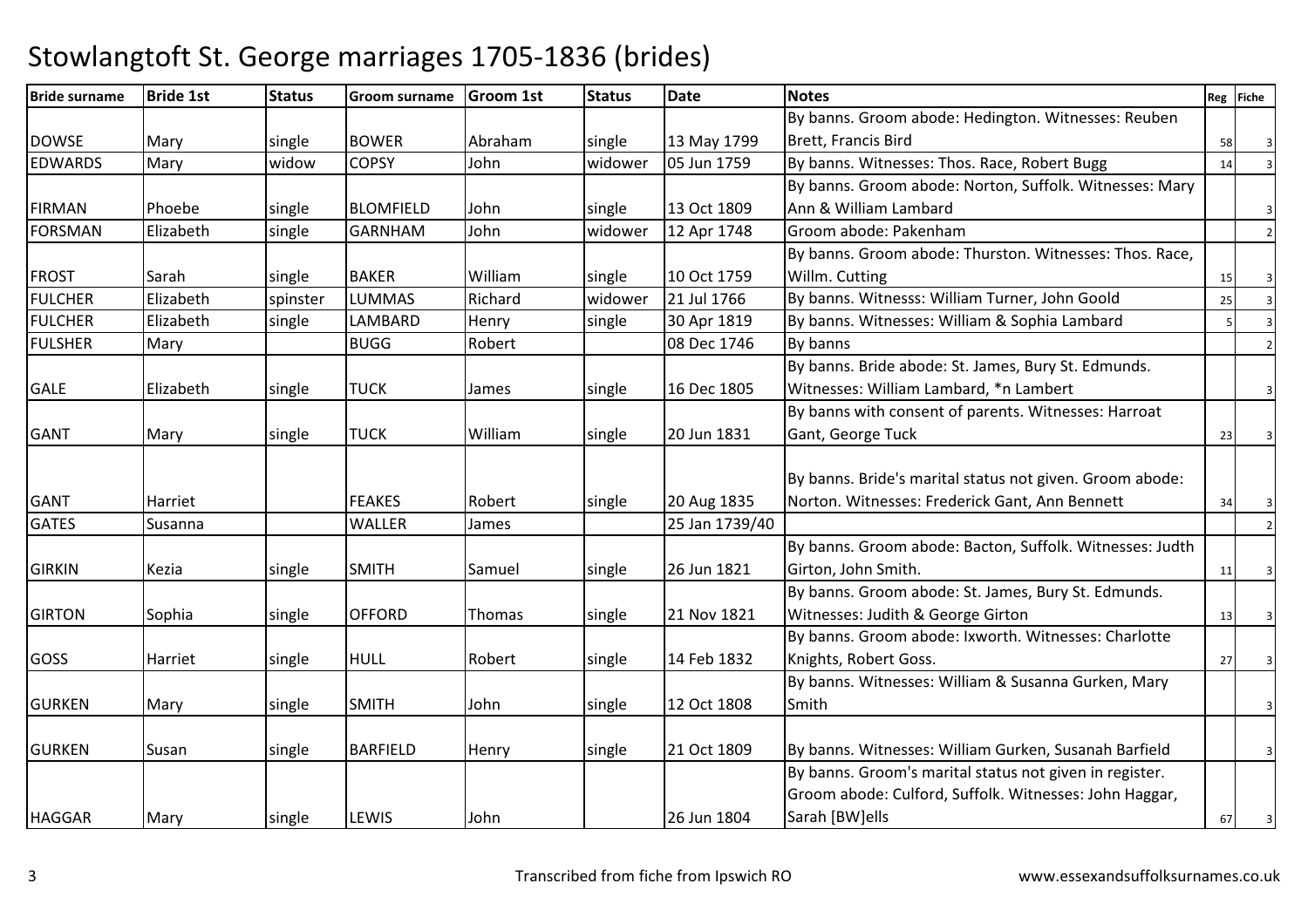| <b>Bride surname</b> | <b>Bride 1st</b> | <b>Status</b> | Groom surname    | <b>Groom 1st</b> | <b>Status</b> | <b>Date</b>    | <b>Notes</b>                                             |    | Reg Fiche |
|----------------------|------------------|---------------|------------------|------------------|---------------|----------------|----------------------------------------------------------|----|-----------|
|                      |                  |               |                  |                  |               |                | By banns. Groom abode: Hedington. Witnesses: Reuben      |    |           |
| <b>DOWSE</b>         | Mary             | single        | <b>BOWER</b>     | Abraham          | single        | 13 May 1799    | Brett, Francis Bird                                      | 58 |           |
| <b>EDWARDS</b>       | Mary             | widow         | <b>COPSY</b>     | John             | widower       | 05 Jun 1759    | By banns. Witnesses: Thos. Race, Robert Bugg             | 14 |           |
|                      |                  |               |                  |                  |               |                | By banns. Groom abode: Norton, Suffolk. Witnesses: Mary  |    |           |
| <b>FIRMAN</b>        | Phoebe           | single        | <b>BLOMFIELD</b> | John             | single        | 13 Oct 1809    | Ann & William Lambard                                    |    | 3         |
| <b>FORSMAN</b>       | Elizabeth        | single        | <b>GARNHAM</b>   | John             | widower       | 12 Apr 1748    | Groom abode: Pakenham                                    |    |           |
|                      |                  |               |                  |                  |               |                | By banns. Groom abode: Thurston. Witnesses: Thos. Race,  |    |           |
| <b>FROST</b>         | Sarah            | single        | <b>BAKER</b>     | William          | single        | 10 Oct 1759    | Willm. Cutting                                           | 15 |           |
| <b>FULCHER</b>       | Elizabeth        | spinster      | <b>LUMMAS</b>    | Richard          | widower       | 21 Jul 1766    | By banns. Witnesss: William Turner, John Goold           | 25 |           |
| <b>FULCHER</b>       | Elizabeth        | single        | LAMBARD          | Henry            | single        | 30 Apr 1819    | By banns. Witnesses: William & Sophia Lambard            |    |           |
| <b>FULSHER</b>       | Mary             |               | <b>BUGG</b>      | Robert           |               | 08 Dec 1746    | By banns                                                 |    |           |
|                      |                  |               |                  |                  |               |                | By banns. Bride abode: St. James, Bury St. Edmunds.      |    |           |
| <b>GALE</b>          | Elizabeth        | single        | <b>TUCK</b>      | James            | single        | 16 Dec 1805    | Witnesses: William Lambard, *n Lambert                   |    |           |
|                      |                  |               |                  |                  |               |                | By banns with consent of parents. Witnesses: Harroat     |    |           |
| <b>GANT</b>          | Mary             | single        | <b>TUCK</b>      | William          | single        | 20 Jun 1831    | Gant, George Tuck                                        | 23 |           |
|                      |                  |               |                  |                  |               |                |                                                          |    |           |
|                      |                  |               |                  |                  |               |                | By banns. Bride's marital status not given. Groom abode: |    |           |
| <b>GANT</b>          | Harriet          |               | <b>FEAKES</b>    | Robert           | single        | 20 Aug 1835    | Norton. Witnesses: Frederick Gant, Ann Bennett           | 34 |           |
| <b>GATES</b>         | Susanna          |               | WALLER           | James            |               | 25 Jan 1739/40 |                                                          |    |           |
|                      |                  |               |                  |                  |               |                | By banns. Groom abode: Bacton, Suffolk. Witnesses: Judth |    |           |
| <b>GIRKIN</b>        | Kezia            | single        | <b>SMITH</b>     | Samuel           | single        | 26 Jun 1821    | Girton, John Smith.                                      | 11 |           |
|                      |                  |               |                  |                  |               |                | By banns. Groom abode: St. James, Bury St. Edmunds.      |    |           |
| <b>GIRTON</b>        | Sophia           | single        | <b>OFFORD</b>    | Thomas           | single        | 21 Nov 1821    | Witnesses: Judith & George Girton                        | 13 |           |
|                      |                  |               |                  |                  |               |                | By banns. Groom abode: Ixworth. Witnesses: Charlotte     |    |           |
| GOSS                 | Harriet          | single        | <b>HULL</b>      | Robert           | single        | 14 Feb 1832    | Knights, Robert Goss.                                    | 27 |           |
|                      |                  |               |                  |                  |               |                | By banns. Witnesses: William & Susanna Gurken, Mary      |    |           |
| <b>GURKEN</b>        | Mary             | single        | <b>SMITH</b>     | John             | single        | 12 Oct 1808    | Smith                                                    |    |           |
|                      |                  |               |                  |                  |               |                |                                                          |    |           |
| <b>GURKEN</b>        | Susan            | single        | <b>BARFIELD</b>  | Henry            | single        | 21 Oct 1809    | By banns. Witnesses: William Gurken, Susanah Barfield    |    |           |
|                      |                  |               |                  |                  |               |                | By banns. Groom's marital status not given in register.  |    |           |
|                      |                  |               |                  |                  |               |                | Groom abode: Culford, Suffolk. Witnesses: John Haggar,   |    |           |
| <b>HAGGAR</b>        | Mary             | single        | LEWIS            | John             |               | 26 Jun 1804    | Sarah [BW]ells                                           | 67 |           |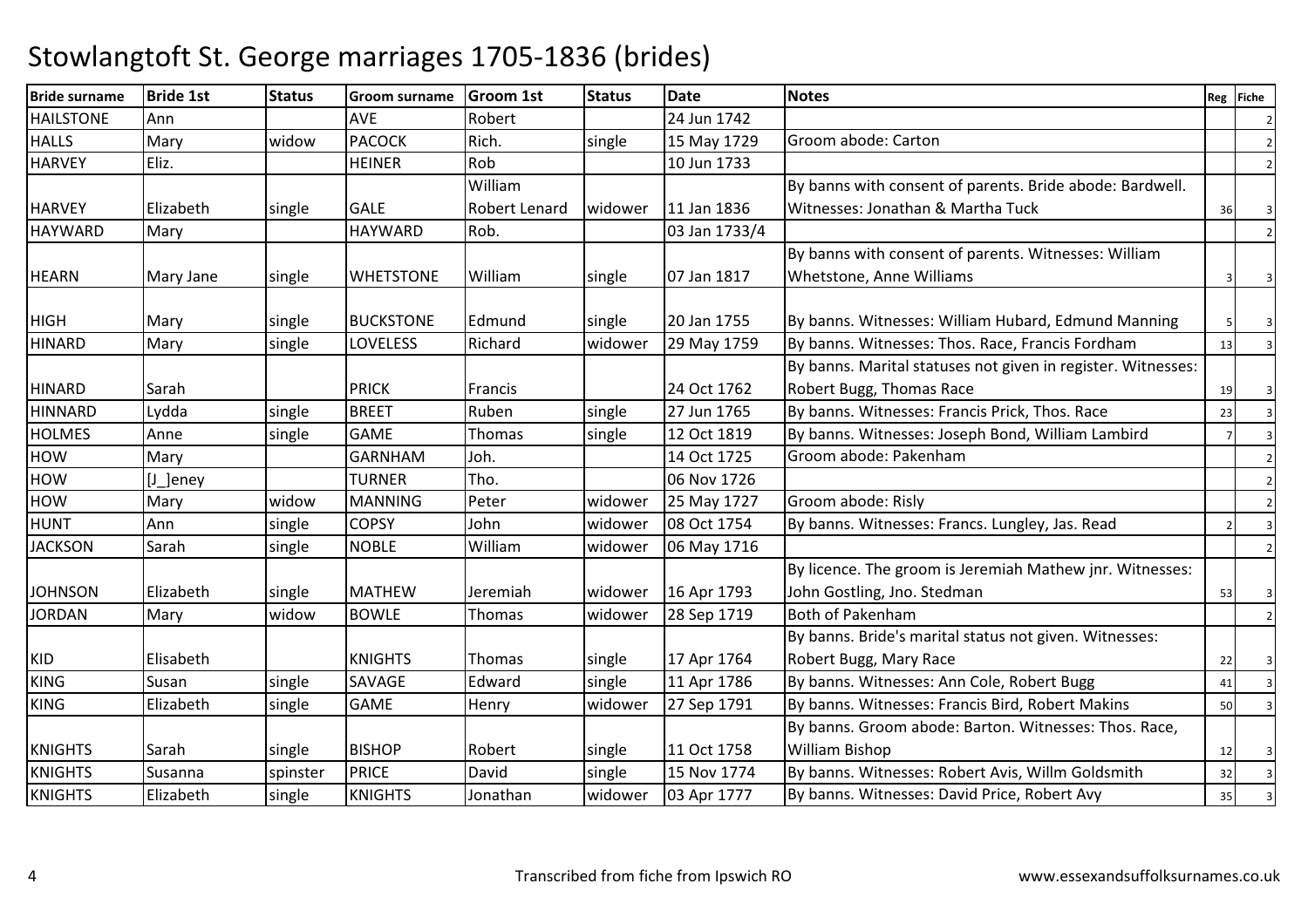| <b>Bride surname</b> | <b>Bride 1st</b> | <b>Status</b> | <b>Groom surname</b> | <b>Groom 1st</b>     | <b>Status</b> | <b>Date</b>   | <b>Notes</b>                                                 |    | Reg Fiche |
|----------------------|------------------|---------------|----------------------|----------------------|---------------|---------------|--------------------------------------------------------------|----|-----------|
| <b>HAILSTONE</b>     | Ann              |               | <b>AVE</b>           | Robert               |               | 24 Jun 1742   |                                                              |    |           |
| <b>HALLS</b>         | Mary             | widow         | <b>PACOCK</b>        | Rich.                | single        | 15 May 1729   | Groom abode: Carton                                          |    |           |
| <b>HARVEY</b>        | Eliz.            |               | <b>HEINER</b>        | Rob                  |               | 10 Jun 1733   |                                                              |    |           |
|                      |                  |               |                      | William              |               |               | By banns with consent of parents. Bride abode: Bardwell.     |    |           |
| <b>HARVEY</b>        | Elizabeth        | single        | <b>GALE</b>          | <b>Robert Lenard</b> | widower       | 11 Jan 1836   | Witnesses: Jonathan & Martha Tuck                            | 36 |           |
| <b>HAYWARD</b>       | Mary             |               | <b>HAYWARD</b>       | Rob.                 |               | 03 Jan 1733/4 |                                                              |    |           |
|                      |                  |               |                      |                      |               |               | By banns with consent of parents. Witnesses: William         |    |           |
| <b>HEARN</b>         | Mary Jane        | single        | <b>WHETSTONE</b>     | William              | single        | 07 Jan 1817   | Whetstone, Anne Williams                                     |    |           |
|                      |                  |               | <b>BUCKSTONE</b>     |                      |               | 20 Jan 1755   |                                                              |    |           |
| <b>HIGH</b>          | Mary             | single        |                      | Edmund               | single        |               | By banns. Witnesses: William Hubard, Edmund Manning          |    |           |
| <b>HINARD</b>        | Mary             | single        | LOVELESS             | Richard              | widower       | 29 May 1759   | By banns. Witnesses: Thos. Race, Francis Fordham             | 13 |           |
|                      |                  |               |                      |                      |               |               | By banns. Marital statuses not given in register. Witnesses: |    |           |
| <b>HINARD</b>        | Sarah            |               | <b>PRICK</b>         | <b>Francis</b>       |               | 24 Oct 1762   | Robert Bugg, Thomas Race                                     | 19 |           |
| <b>HINNARD</b>       | Lydda            | single        | <b>BREET</b>         | Ruben                | single        | 27 Jun 1765   | By banns. Witnesses: Francis Prick, Thos. Race               | 23 |           |
| <b>HOLMES</b>        | Anne             | single        | <b>GAME</b>          | Thomas               | single        | 12 Oct 1819   | By banns. Witnesses: Joseph Bond, William Lambird            |    |           |
| HOW                  | Mary             |               | <b>GARNHAM</b>       | Joh.                 |               | 14 Oct 1725   | Groom abode: Pakenham                                        |    |           |
| <b>HOW</b>           | [J_]eney         |               | <b>TURNER</b>        | Tho.                 |               | 06 Nov 1726   |                                                              |    |           |
| <b>HOW</b>           | Mary             | widow         | <b>MANNING</b>       | Peter                | widower       | 25 May 1727   | Groom abode: Risly                                           |    |           |
| <b>HUNT</b>          | Ann              | single        | <b>COPSY</b>         | John                 | widower       | 08 Oct 1754   | By banns. Witnesses: Francs. Lungley, Jas. Read              |    |           |
| <b>JACKSON</b>       | Sarah            | single        | <b>NOBLE</b>         | William              | widower       | 06 May 1716   |                                                              |    |           |
|                      |                  |               |                      |                      |               |               | By licence. The groom is Jeremiah Mathew jnr. Witnesses:     |    |           |
| <b>JOHNSON</b>       | Elizabeth        | single        | <b>MATHEW</b>        | Jeremiah             | widower       | 16 Apr 1793   | John Gostling, Jno. Stedman                                  | 53 |           |
| <b>JORDAN</b>        | Mary             | widow         | <b>BOWLE</b>         | Thomas               | widower       | 28 Sep 1719   | Both of Pakenham                                             |    |           |
|                      |                  |               |                      |                      |               |               | By banns. Bride's marital status not given. Witnesses:       |    |           |
| <b>KID</b>           | Elisabeth        |               | <b>KNIGHTS</b>       | Thomas               | single        | 17 Apr 1764   | Robert Bugg, Mary Race                                       | 22 |           |
| <b>KING</b>          | Susan            | single        | SAVAGE               | Edward               | single        | 11 Apr 1786   | By banns. Witnesses: Ann Cole, Robert Bugg                   | 41 |           |
| <b>KING</b>          | Elizabeth        | single        | <b>GAME</b>          | Henry                | widower       | 27 Sep 1791   | By banns. Witnesses: Francis Bird, Robert Makins             | 50 |           |
|                      |                  |               |                      |                      |               |               | By banns. Groom abode: Barton. Witnesses: Thos. Race,        |    |           |
| <b>KNIGHTS</b>       | Sarah            | single        | <b>BISHOP</b>        | Robert               | single        | 11 Oct 1758   | <b>William Bishop</b>                                        | 12 |           |
| <b>KNIGHTS</b>       | Susanna          | spinster      | <b>PRICE</b>         | David                | single        | 15 Nov 1774   | By banns. Witnesses: Robert Avis, Willm Goldsmith            | 32 |           |
| <b>KNIGHTS</b>       | Elizabeth        | single        | <b>KNIGHTS</b>       | Jonathan             | widower       | 03 Apr 1777   | By banns. Witnesses: David Price, Robert Avy                 | 35 |           |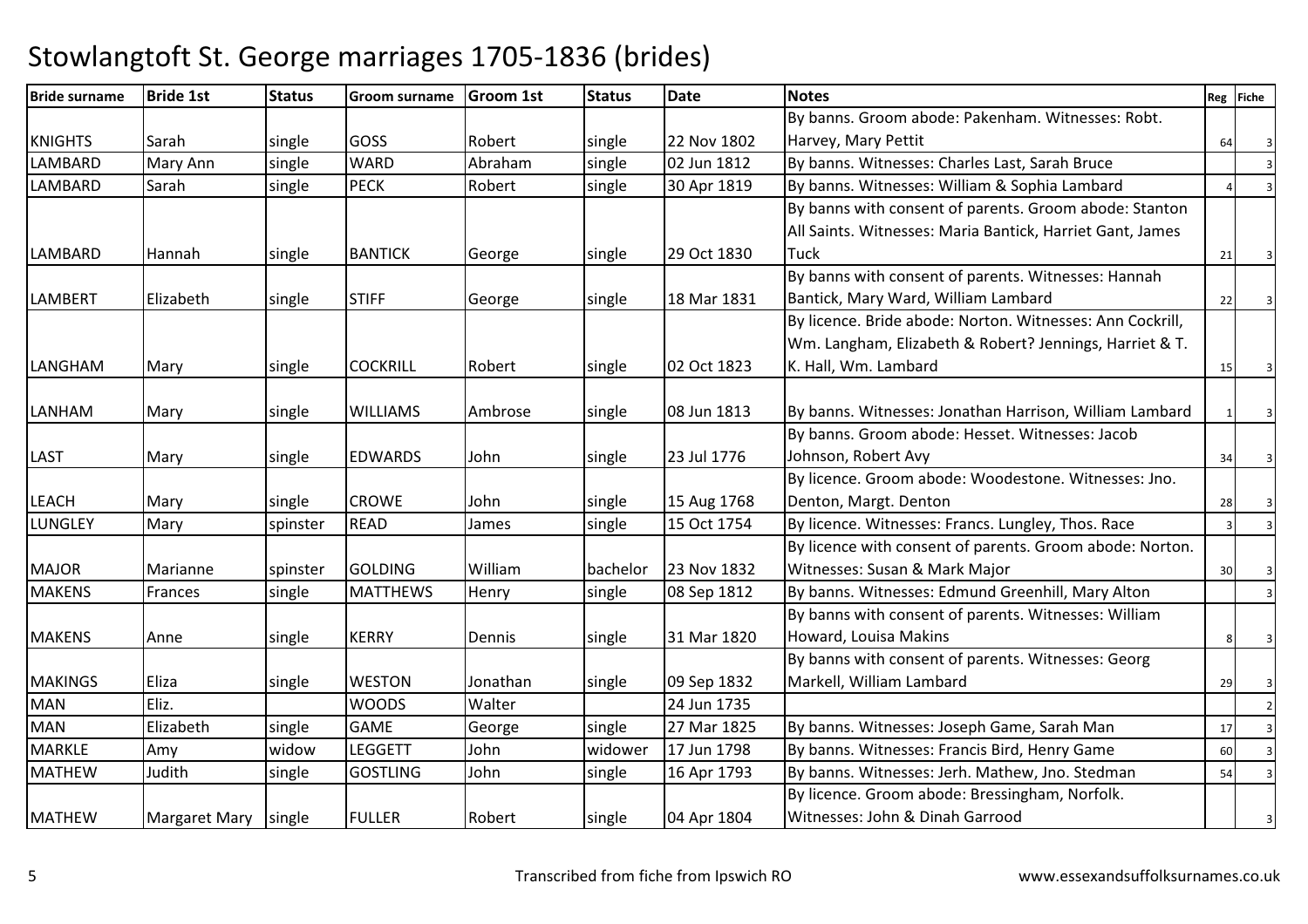#### Bride surname Bride 1st Status Groom surname Groom 1st Status Datee Reg Fiche KNIGHTS Sarah single GOSS Robert single 22 Nov 1802 02 lun 1812 By banns. Groom abode: Pakenham. Witnesses: Robt. Harvey, Mary Pettit $\begin{array}{|c|c|c|c|c|}\n\hline\n\text{I} & 64 & 3 \\
\hline\n\end{array}$ **LAMBARD** D Mary Ann single WARD Abraham Abraham single 02 Jun 1812 By banns. Witnesses: Charles Last, Sarah Bruce<br>Robert single 30 Apr 1819 By banns. Witnesses: William & Sophia Lambar LAMBARD Sarah single PECK Robert single 30 Apr 1819 By banns. Witnesses: William & Sophia Lambard <sup>4</sup> <sup>3</sup> LAMBARD |Hannah |single |BANTICK |George |single |29 Oct 1830 By banns with consent of parents. Groom abode: Stanton All Saints. Witnesses: Maria Bantick, Harriet Gant, James **Tuck K** 21 3 LAMBERT Elizabeth single STIFF George single 18 Mar 1831By banns with consent of parents. Witnesses: Hannah Bantick, Mary Ward, William Lambard $\alpha$  22 3 LANGHAM Mary single COCKRILL Robert single 02 Oct 1823 By licence. Bride abode: Norton. Witnesses: Ann Cockrill, Wm. Langham, Elizabeth & Robert? Jennings, Harriet & T. K. Hall, Wm. Lambard $\alpha$  15 3 LANHAM Mary single WILLIAMS Ambrose single 08 Jun 1813 $\vert$ 08 Jun 1813 | By banns. Witnesses: Jonathan Harrison, William Lambard LAST Mary single EDWARDS John single 23 Jul 1776By banns. Groom abode: Hesset. Witnesses: Jacob Johnson, Robert Avy $\sqrt{34}$  34 3 LEACH Mary single CROWE John single 15 Aug 1768 15 Oct 1754 By licence. Groom abode: Woodestone. Witnesses: Jno. Denton, Margt. Dentonn 28 3 LUNGLEYMary Spinster READ James 3 and 15 Oct 1754 By licence. Witnesses: Francs. Lungley, Thos. Race 3 3 3 MAJOR Marianne spinster GOLDING William bachelor 23 Nov 183208 Sep 1812 By licence with consent of parents. Groom abode: Norton. Witnesses: Susan & Mark Major $\begin{array}{ccc|c} \hline \end{array}$  30 3 MAKENSFrances single MATTHEWS Henry single By banns. Witnesses: Edmund Greenhill, Mary Alton <sup>3</sup> MAKENS Anne Single KERRY Dennis Single 31 Mar 1820 By banns with consent of parents. Witnesses: William Howard, Louisa Makins $\begin{array}{|c|c|c|c|c|c|}\n \hline\n \text{S} & \text{3} & \text{3} \\
 \hline\n \end{array}$ MAKINGS Eliza single WESTON Jonathan Single 09 Sep 1832 24 Jun 1735 By banns with consent of parents. Witnesses: Georg Markell, William Lambard $\alpha$  29 3 MANN Eliz. NOODS Walter 24 Jun 1735 24 Jun 20 Jun 20 Jun 20 Jun 20 Jun 20 Jun 20 Jun 20 Jun 20 Jun 20 Jun 20 Jun 20 Jun 20 Jun 20 Jun 20 Jun 20 Jun 20 Jun 20 Jun 20 Jun 20 Jun 20 Jun 20 Jun 20 Jun 20 Jun 20 Jun 20 Jun 20 Jun MANElizabeth Single GAME George single 27 Mar 1825 By banns. Witnesses: Joseph Game, Sarah Man 17<br>Amy widow LEGGETT John widower 17 Jun 1798 By banns. Witnesses: Francis Bird. Henry Game MARKLEAmy widow<br>Judith single widow LEGGETT JJohn 17 Widower 17 Jun 1798 By banns. Witnesses: Francis Bird, Henry Game 60<br>160 Single GOSTLING John Single 16 Apr 1793 By banns. Witnesses: Jerh. Mathew, Jno. Stedman MATHEWBy banns. Witnesses: Jerh. Mathew, Jno. Stedman MATHEW | Margaret Mary | single | FULLER | Robert | single | 04 Apr 1804 By licence. Groom abode: Bressingham, Norfolk. Witnesses: John & Dinah Garroodd 3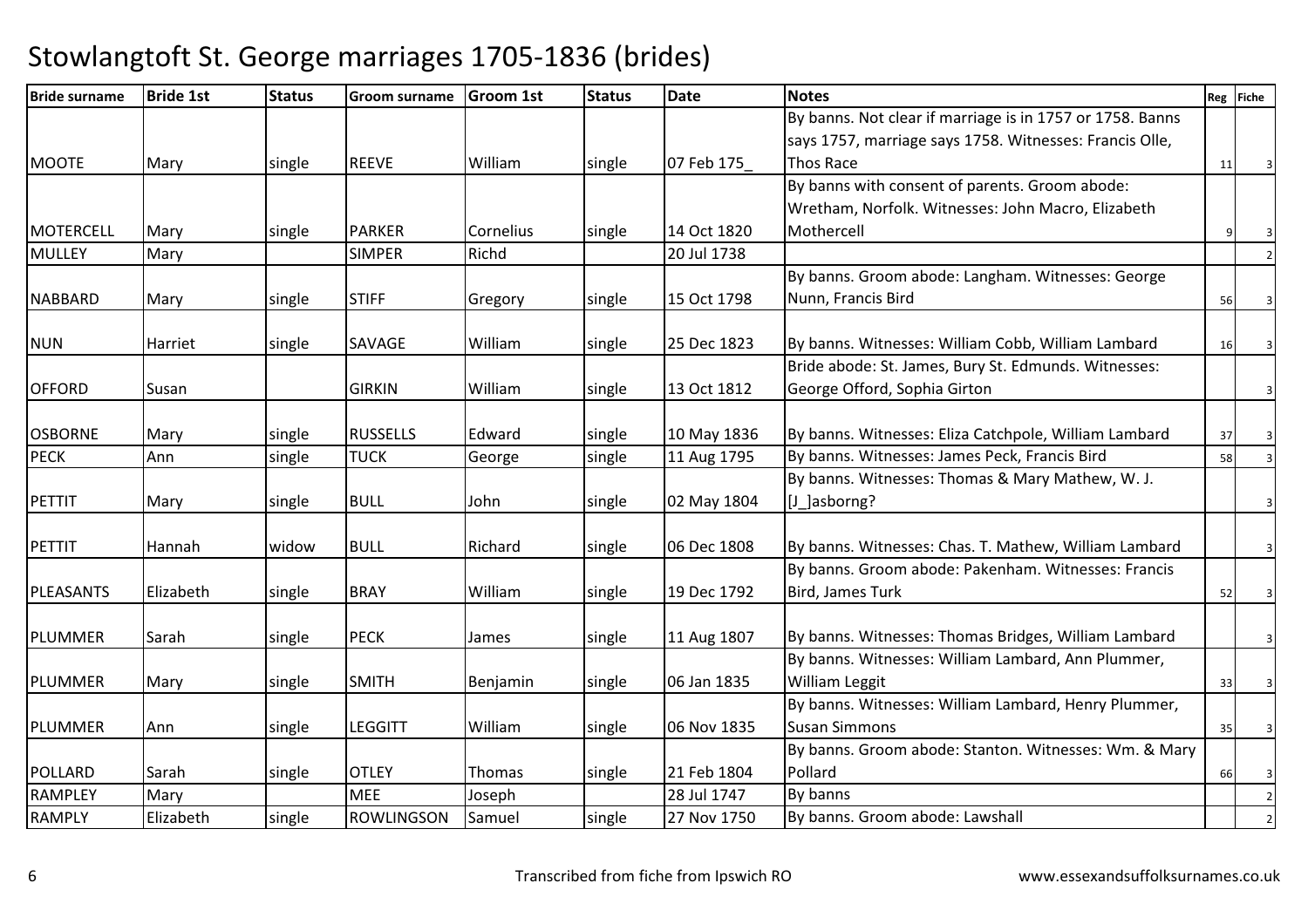| <b>Bride surname</b> | <b>Bride 1st</b> | <b>Status</b> | <b>Groom surname</b> | <b>Groom 1st</b> | <b>Status</b> | <b>Date</b> | <b>Notes</b>                                              |    | Reg Fiche |
|----------------------|------------------|---------------|----------------------|------------------|---------------|-------------|-----------------------------------------------------------|----|-----------|
|                      |                  |               |                      |                  |               |             | By banns. Not clear if marriage is in 1757 or 1758. Banns |    |           |
|                      |                  |               |                      |                  |               |             | says 1757, marriage says 1758. Witnesses: Francis Olle,   |    |           |
| <b>MOOTE</b>         | Mary             | single        | <b>REEVE</b>         | William          | single        | 07 Feb 175  | <b>Thos Race</b>                                          | 11 |           |
|                      |                  |               |                      |                  |               |             | By banns with consent of parents. Groom abode:            |    |           |
|                      |                  |               |                      |                  |               |             | Wretham, Norfolk. Witnesses: John Macro, Elizabeth        |    |           |
| MOTERCELL            | Mary             | single        | <b>PARKER</b>        | Cornelius        | single        | 14 Oct 1820 | Mothercell                                                |    | 3         |
| <b>MULLEY</b>        | Mary             |               | <b>SIMPER</b>        | Richd            |               | 20 Jul 1738 |                                                           |    |           |
|                      |                  |               |                      |                  |               |             | By banns. Groom abode: Langham. Witnesses: George         |    |           |
| <b>NABBARD</b>       | Mary             | single        | <b>STIFF</b>         | Gregory          | single        | 15 Oct 1798 | Nunn, Francis Bird                                        | 56 |           |
| <b>NUN</b>           | Harriet          | single        | SAVAGE               | William          | single        | 25 Dec 1823 | By banns. Witnesses: William Cobb, William Lambard        | 16 |           |
|                      |                  |               |                      |                  |               |             | Bride abode: St. James, Bury St. Edmunds. Witnesses:      |    |           |
| <b>OFFORD</b>        | Susan            |               | <b>GIRKIN</b>        | William          | single        | 13 Oct 1812 | George Offord, Sophia Girton                              |    |           |
|                      |                  |               |                      |                  |               |             |                                                           |    |           |
| <b>OSBORNE</b>       | Mary             | single        | <b>RUSSELLS</b>      | Edward           | single        | 10 May 1836 | By banns. Witnesses: Eliza Catchpole, William Lambard     | 37 |           |
| <b>PECK</b>          | Ann              | single        | <b>TUCK</b>          | George           | single        | 11 Aug 1795 | By banns. Witnesses: James Peck, Francis Bird             | 58 |           |
|                      |                  |               |                      |                  |               |             | By banns. Witnesses: Thomas & Mary Mathew, W. J.          |    |           |
| <b>PETTIT</b>        | Mary             | single        | <b>BULL</b>          | John             | single        | 02 May 1804 | [J ]asborng?                                              |    |           |
|                      |                  |               |                      |                  |               |             |                                                           |    |           |
| <b>PETTIT</b>        | Hannah           | widow         | <b>BULL</b>          | Richard          | single        | 06 Dec 1808 | By banns. Witnesses: Chas. T. Mathew, William Lambard     |    |           |
|                      |                  |               |                      |                  |               |             | By banns. Groom abode: Pakenham. Witnesses: Francis       |    |           |
| PLEASANTS            | Elizabeth        | single        | <b>BRAY</b>          | William          | single        | 19 Dec 1792 | Bird, James Turk                                          | 52 |           |
| <b>PLUMMER</b>       | Sarah            | single        | <b>PECK</b>          | James            | single        | 11 Aug 1807 | By banns. Witnesses: Thomas Bridges, William Lambard      |    |           |
|                      |                  |               |                      |                  |               |             | By banns. Witnesses: William Lambard, Ann Plummer,        |    |           |
| <b>PLUMMER</b>       | Mary             | single        | <b>SMITH</b>         | Benjamin         | single        | 06 Jan 1835 | William Leggit                                            | 33 |           |
|                      |                  |               |                      |                  |               |             | By banns. Witnesses: William Lambard, Henry Plummer,      |    |           |
| PLUMMER              | Ann              | single        | <b>LEGGITT</b>       | William          | single        | 06 Nov 1835 | <b>Susan Simmons</b>                                      | 35 |           |
|                      |                  |               |                      |                  |               |             | By banns. Groom abode: Stanton. Witnesses: Wm. & Mary     |    |           |
| POLLARD              | Sarah            | single        | <b>OTLEY</b>         | Thomas           | single        | 21 Feb 1804 | Pollard                                                   | 66 |           |
| <b>RAMPLEY</b>       | Mary             |               | <b>MEE</b>           | Joseph           |               | 28 Jul 1747 | By banns                                                  |    |           |
| <b>RAMPLY</b>        | Elizabeth        | single        | <b>ROWLINGSON</b>    | Samuel           | single        | 27 Nov 1750 | By banns. Groom abode: Lawshall                           |    |           |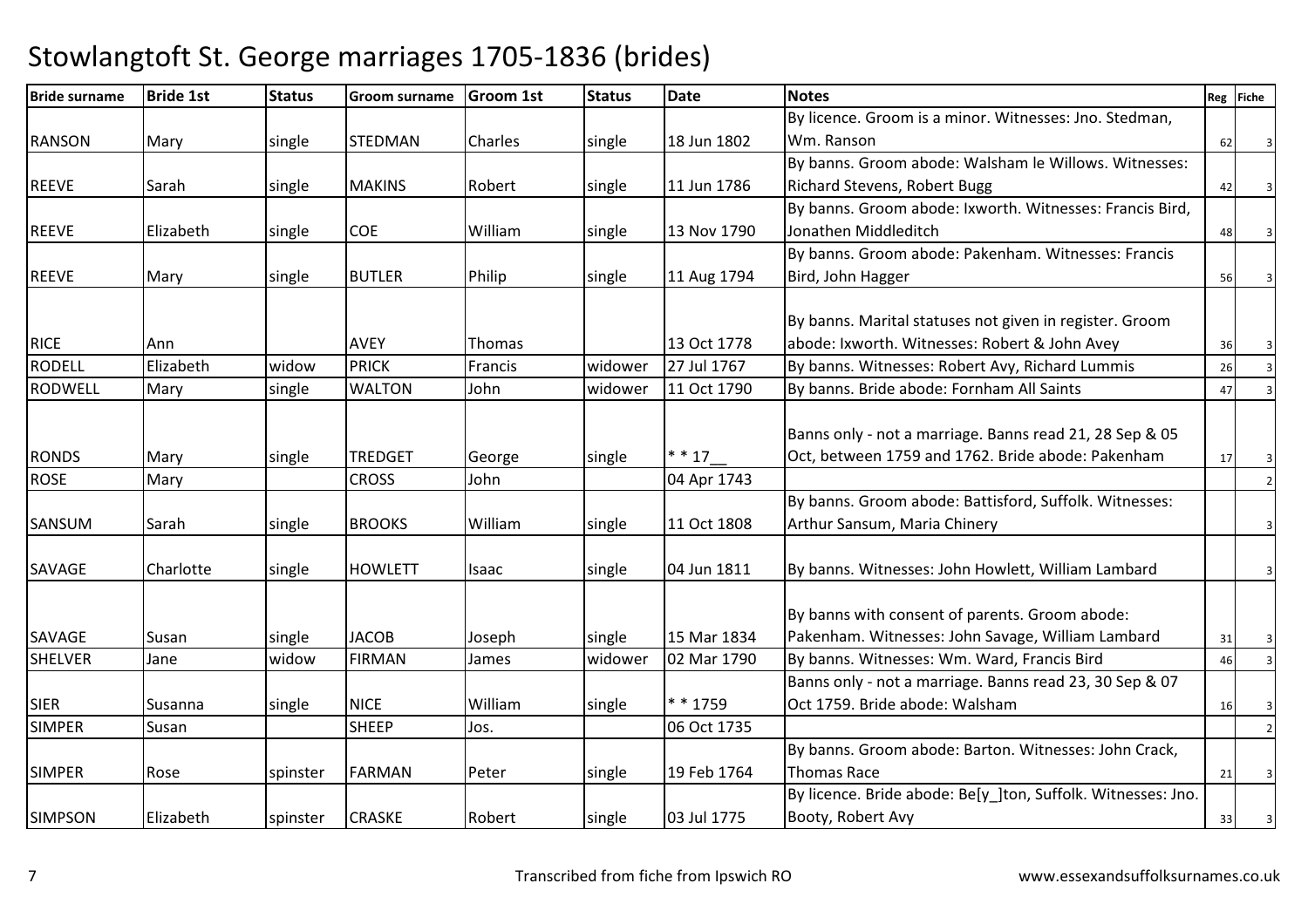#### Bride surname Bride 1st Status Groom surname Groom 1st Status Datee Reg Fiche RANSON |Mary |single |STEDMAN |Charles |single |18 Jun 1802 By licence. Groom is a minor. Witnesses: Jno. Stedman, Wm. Ranson $n \t 62 \t 3$ REEVE Sarah Sarah single MAKINS Robert single 11 Jun 1786 By banns. Groom abode: Walsham le Willows. Witnesses: Richard Stevens, Robert Bugg $\begin{array}{ccc} 8 & 42 & 3 \\ 9 & 3 & 22 \\ 10 & 3 & 3 \\ 20 & 3 & 3 \\ 30 & 3 & 3 \\ 30 & 3 & 3 \\ 30 & 3 & 3 \\ 30 & 3 & 3 \\ 30 & 3 & 3 \\ 30 & 3 & 3 \\ 30 & 3 & 3 \\ 30 & 3 & 3 \\ 30 & 3 & 3 & 3 \\ 31 & 3 & 3 & 3 \\ 32 & 3 & 3 & 3 \\ 33 & 3 & 3 & 3 \\ 34 & 3 & 3 & 3 \\ 35 & 3 & 3 & 3 \\ 37 & 3 & 3 & 3 \\ 3$ REEVE Elizabeth single COE William single 13 Nov 1790By banns. Groom abode: Ixworth. Witnesses: Francis Bird, Jonathen Middleditchn 48 3 REEVE | Mary | single | BUTLER | Philip | single | 11 Aug 1794 By banns. Groom abode: Pakenham. Witnesses: Francis Bird, John Hagger $\sim$  56 3 RICE Ann Ann AVEY Thomas 13 Oct 1778 27 Jul 1767 By banns. Marital statuses not given in register. Groom abode: Ixworth. Witnesses: Robert & John Avey $\frac{9}{36}$  36 3 RODELL Elizabeth widowPRICK Francis Widower 27 Jul 1767 By banns. Witnesses: Robert Avy, Richard Lummis 26<br>WALTON John Widower 11 Oct 1790 By banns. Bride abode: Fornham All Saints RODWELL**Mary**  single**WALTON** By banns. Bride abode: Fornham All Saints RONDS |Mary |single |TREDGET |George |single |\*\*17\_\_ 04 Apr 1743 Banns only - not a marriage. Banns read 21, 28 Sep & 05 Oct, between 1759 and 1762. Bride abode: Pakenham $\begin{array}{c|c}\nm & 17 & 3\n\end{array}$ ROSEE Mary CROSS John 04 Apr 1743 <sup>2</sup> SANSUM Sarah Single BROOKS William Single 11 Oct 1808 By banns. Groom abode: Battisford, Suffolk. Witnesses: Arthur Sansum, Maria Chinery $\frac{3}{3}$ SAVAGE Charlotte single HOWLETT Isaac single 04 Jun 1811 $\vert$ 04 Jun 1811 **By banns. Witnesses: John Howlett, William Lambard** SAVAGE Susan single JACOB Joseph single 15 Mar 183402 Mar 1790 By banns with consent of parents. Groom abode: Pakenham. Witnesses: John Savage, William Lambard $\begin{array}{c|c} 31 & 3 \end{array}$ SHELVER Jane widowFIRMAN James Widower 02 Mar 1790 By banns. Witnesses: Wm. Ward, Francis Bird 16 SIER Susanna single NICE William single \* \* 175906 Oct 1735 Banns only - not a marriage. Banns read 23, 30 Sep & 07 Oct 1759. Bride abode: Walshamm 16 3 SIMPERR Susan Susan SHEEP Jos. 06 Oct 1735 2 SIMPER Rose Single Rose spinster FARMAN Peter single 19 Feb 1764 By banns. Groom abode: Barton. Witnesses: John Crack, Thomas Racee 21 3 SIMPSON Elizabeth spinster CRASKE Robert single 03 Jul 1775By licence. Bride abode: Be[y\_]ton, Suffolk. Witnesses: Jno. Booty, Robert Avy $\sqrt{33}$  33 3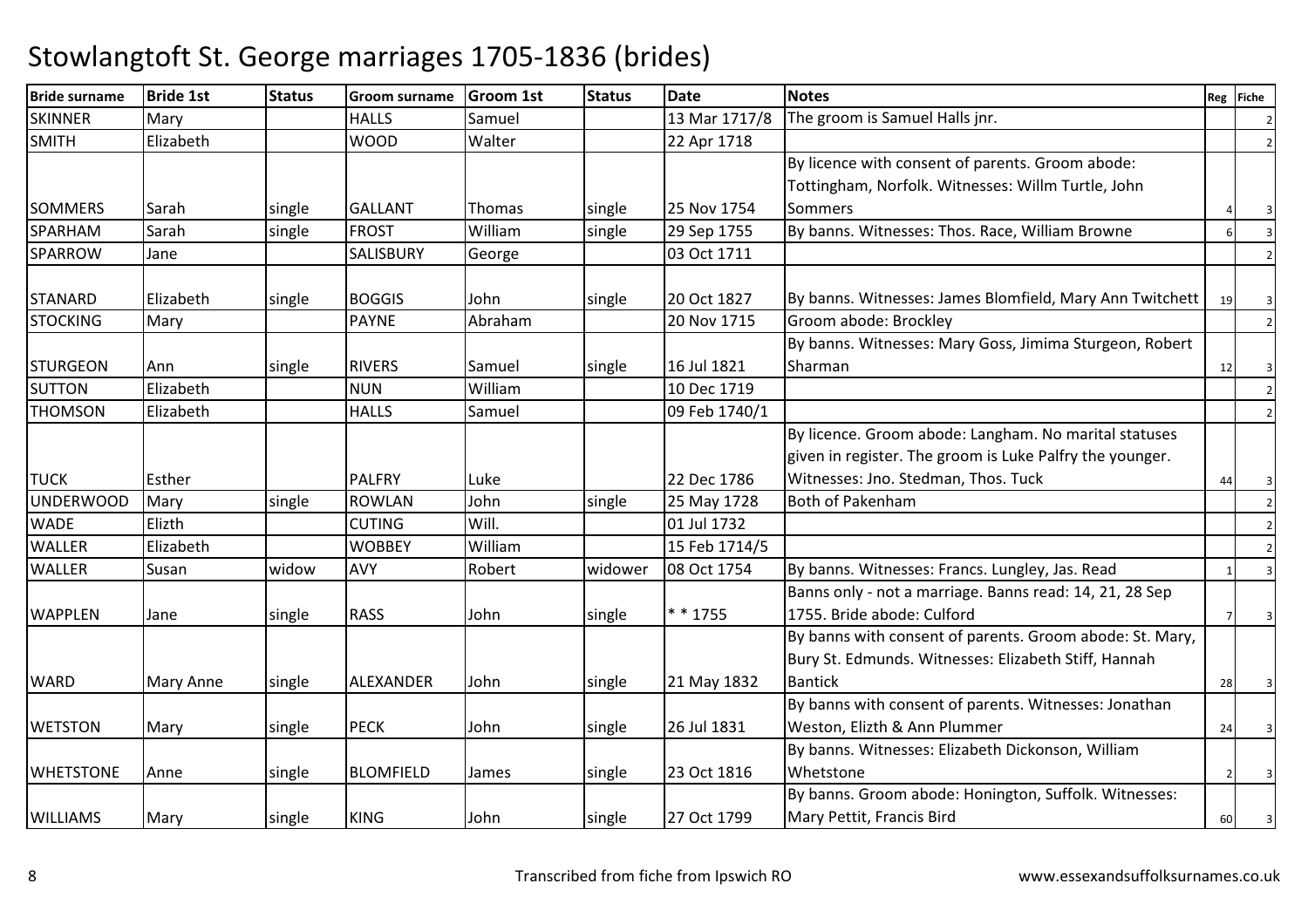| <b>Bride surname</b> | <b>Bride 1st</b> | <b>Status</b> | <b>Groom surname</b> | <b>Groom 1st</b> | <b>Status</b> | <b>Date</b>   | <b>Notes</b>                                                                                                      |    | Reg Fiche |
|----------------------|------------------|---------------|----------------------|------------------|---------------|---------------|-------------------------------------------------------------------------------------------------------------------|----|-----------|
| <b>SKINNER</b>       | Mary             |               | <b>HALLS</b>         | Samuel           |               | 13 Mar 1717/8 | The groom is Samuel Halls jnr.                                                                                    |    |           |
| <b>SMITH</b>         | Elizabeth        |               | <b>WOOD</b>          | Walter           |               | 22 Apr 1718   |                                                                                                                   |    |           |
|                      |                  |               |                      |                  |               |               | By licence with consent of parents. Groom abode:                                                                  |    |           |
|                      |                  |               |                      |                  |               |               | Tottingham, Norfolk. Witnesses: Willm Turtle, John                                                                |    |           |
| SOMMERS              | lSarah           | single        | <b>GALLANT</b>       | <b>Thomas</b>    | single        | 25 Nov 1754   | Sommers                                                                                                           |    |           |
| SPARHAM              | Sarah            | single        | <b>FROST</b>         | William          | single        | 29 Sep 1755   | By banns. Witnesses: Thos. Race, William Browne                                                                   |    |           |
| <b>SPARROW</b>       | Jane             |               | <b>SALISBURY</b>     | George           |               | 03 Oct 1711   |                                                                                                                   |    |           |
| <b>STANARD</b>       | Elizabeth        | single        | <b>BOGGIS</b>        | John             | single        | 20 Oct 1827   | By banns. Witnesses: James Blomfield, Mary Ann Twitchett                                                          | 19 |           |
| <b>STOCKING</b>      | Mary             |               | <b>PAYNE</b>         | Abraham          |               | 20 Nov 1715   | Groom abode: Brockley                                                                                             |    |           |
|                      |                  |               |                      |                  |               |               | By banns. Witnesses: Mary Goss, Jimima Sturgeon, Robert                                                           |    |           |
| <b>STURGEON</b>      | Ann              | single        | <b>RIVERS</b>        | Samuel           | single        | 16 Jul 1821   | Sharman                                                                                                           | 12 |           |
| <b>SUTTON</b>        | Elizabeth        |               | <b>NUN</b>           | William          |               | 10 Dec 1719   |                                                                                                                   |    |           |
| <b>THOMSON</b>       | Elizabeth        |               | <b>HALLS</b>         | Samuel           |               | 09 Feb 1740/1 |                                                                                                                   |    |           |
|                      |                  |               |                      |                  |               |               | By licence. Groom abode: Langham. No marital statuses<br>given in register. The groom is Luke Palfry the younger. |    |           |
| <b>TUCK</b>          | Esther           |               | <b>PALFRY</b>        | Luke             |               | 22 Dec 1786   | Witnesses: Jno. Stedman, Thos. Tuck                                                                               | 44 |           |
| <b>UNDERWOOD</b>     | Mary             | single        | <b>ROWLAN</b>        | John             | single        | 25 May 1728   | Both of Pakenham                                                                                                  |    |           |
| <b>WADE</b>          | Elizth           |               | <b>CUTING</b>        | Will.            |               | 01 Jul 1732   |                                                                                                                   |    |           |
| <b>WALLER</b>        | Elizabeth        |               | <b>WOBBEY</b>        | William          |               | 15 Feb 1714/5 |                                                                                                                   |    |           |
| <b>WALLER</b>        | Susan            | widow         | AVY                  | Robert           | widower       | 08 Oct 1754   | By banns. Witnesses: Francs. Lungley, Jas. Read                                                                   |    |           |
|                      |                  |               |                      |                  |               |               | Banns only - not a marriage. Banns read: 14, 21, 28 Sep                                                           |    |           |
| <b>WAPPLEN</b>       | Jane             | single        | RASS                 | John             | single        | * * 1755      | 1755. Bride abode: Culford                                                                                        |    |           |
|                      |                  |               |                      |                  |               |               | By banns with consent of parents. Groom abode: St. Mary,                                                          |    |           |
|                      |                  |               |                      |                  |               |               | Bury St. Edmunds. Witnesses: Elizabeth Stiff, Hannah                                                              |    |           |
| <b>WARD</b>          | <b>Mary Anne</b> | single        | ALEXANDER            | John             | single        | 21 May 1832   | <b>Bantick</b>                                                                                                    | 28 |           |
|                      |                  |               |                      |                  |               |               | By banns with consent of parents. Witnesses: Jonathan                                                             |    |           |
| <b>WETSTON</b>       | Mary             | single        | <b>PECK</b>          | John             | single        | 26 Jul 1831   | Weston, Elizth & Ann Plummer                                                                                      | 24 |           |
|                      |                  |               |                      |                  |               |               | By banns. Witnesses: Elizabeth Dickonson, William                                                                 |    |           |
| <b>WHETSTONE</b>     | Anne             | single        | <b>BLOMFIELD</b>     | James            | single        | 23 Oct 1816   | Whetstone                                                                                                         |    |           |
|                      |                  |               |                      |                  |               |               | By banns. Groom abode: Honington, Suffolk. Witnesses:                                                             |    |           |
| <b>WILLIAMS</b>      | Mary             | single        | <b>KING</b>          | John             | single        | 27 Oct 1799   | Mary Pettit, Francis Bird                                                                                         | 60 |           |